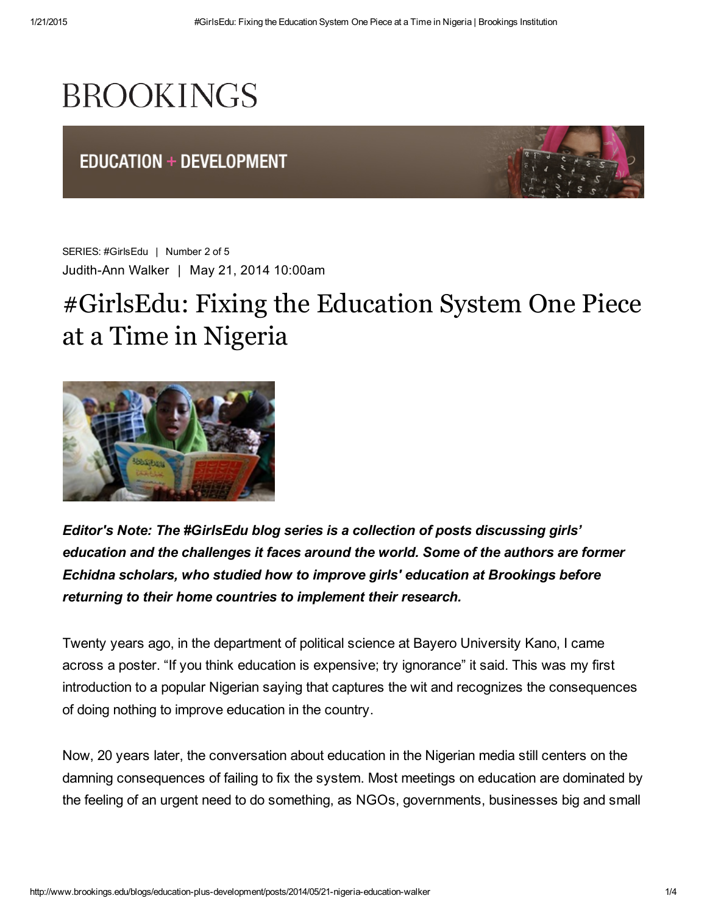## **BROOKINGS**

**EDUCATION + DEVELOPMENT** 



SERIES: [#GirlsEdu](http://www.brookings.edu/blogs/education-plus-development/series/girlsedu) | Number 2 of 5 JudithAnn Walker | May 21, 2014 10:00am

## #GirlsEdu: Fixing the Education System One Piece at a Time in Nigeria



*Editor's Note: The [#GirlsEdu](https://twitter.com/search?f=realtime&q=%23girlsedu&src=typd) blog series is a collection of posts discussing girls' education and the challenges it faces around the world. Some of the authors are former Echidna [scholars,](http://www.brookings.edu/about/centers/universal-education/cue-global-scholars) who studied how to improve girls' education at Brookings before returning to their home countries to implement their research.*

Twenty years ago, in the department of political science at Bayero University Kano, I came across a poster. "If you think education is expensive; try ignorance" it said. This was my first introduction to a popular Nigerian saying that captures the wit and recognizes the consequences of doing nothing to improve education in the country.

Now, 20 years later, the conversation about education in the Nigerian media still centers on the damning consequences of failing to fix the system. Most meetings on education are dominated by the feeling of an urgent need to do something, as NGOs, governments, businesses big and small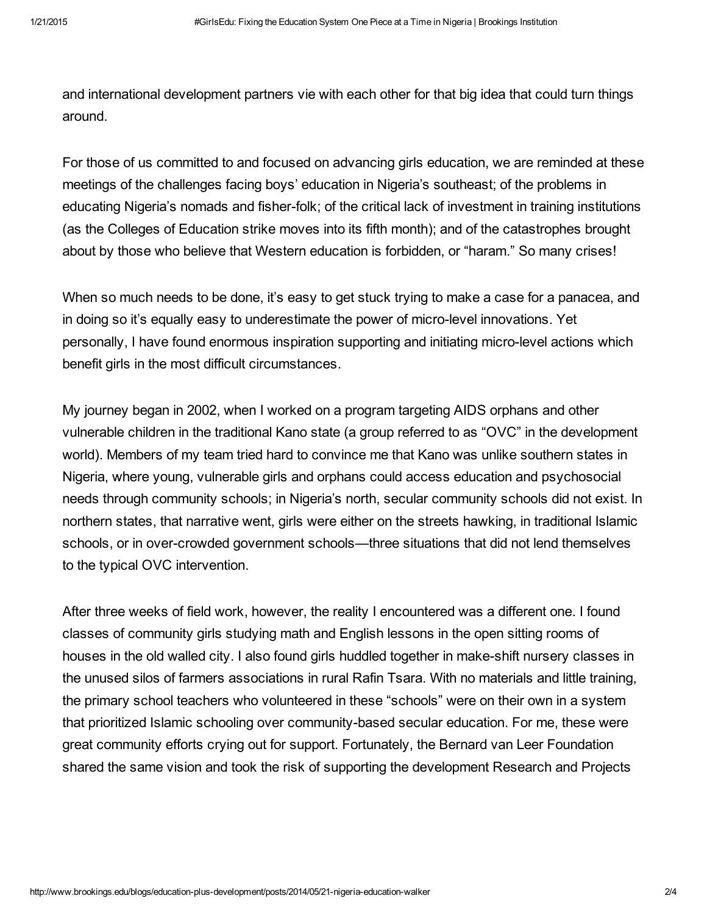and international development partners vie with each other for that big idea that could turn things around.

For those of us committed to and focused on advancing girls education, we are reminded at these meetings of the challenges facing boys' education in Nigeria's southeast; of the problems in educating Nigeria's nomads and fisher-folk; of the critical lack of investment in training institutions (as the Colleges of [Education](http://sunnewsonline.com/new/?p=61003) strike moves into its fifth month); and of the catastrophes brought about by those who believe that Western education is forbidden, or "haram." So many crises!

When so much needs to be done, it's easy to get stuck trying to make a case for a panacea, and in doing so it's equally easy to underestimate the power of micro-level innovations. Yet personally, I have found enormous inspiration supporting and initiating micro-level actions which benefit girls in the most difficult circumstances.

My journey began in 2002, when I worked on a program targeting AIDS orphans and other vulnerable children in the traditional Kano state (a group referred to as "OVC" in the development world). Members of my team tried hard to convince me that Kano was unlike southern states in Nigeria, where young, vulnerable girls and orphans could access education and psychosocial needs through community schools; in Nigeria's north, secular community schools did not exist. In northern states, that narrative went, girls were either on the streets hawking, in traditional Islamic schools, or in over-crowded government schools—three situations that did not lend themselves to the typical OVC intervention.

After three weeks of field work, however, the reality I encountered was a different one. I found classes of community girls studying math and English lessons in the open sitting rooms of houses in the old walled city. I also found girls huddled together in make-shift nursery classes in the unused silos of farmers associations in rural Rafin Tsara. With no materials and little training, the primary school teachers who volunteered in these "schools" were on their own in a system that prioritized Islamic schooling over community-based secular education. For me, these were great community efforts crying out for support. Fortunately, the Bernard van Leer Foundation shared the same vision and took the risk of supporting the [development](http://www.drpcngr.org/) Research and Projects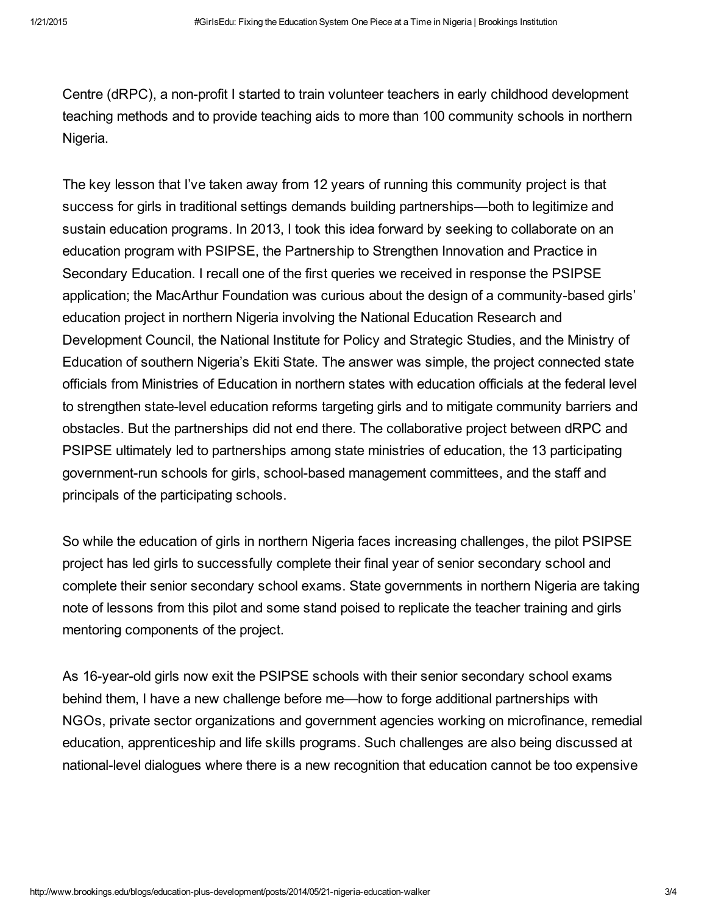Centre (dRPC), a non-profit I started to train volunteer teachers in early childhood [development](http://www.drpcngr.org/) teaching methods and to provide teaching aids to more than 100 community schools in northern Nigeria.

The key lesson that I've taken away from 12 years of running this community project is that success for girls in traditional settings demands building partnerships—both to legitimize and sustain education programs. In 2013, I took this idea forward by seeking to collaborate on an education program with PSIPSE, the [Partnership](http://r4d.org/focus-areas/partnership-strengthen-innovation-and-practice-secondary-education) to Strengthen Innovation and Practice in Secondary Education. I recall one of the first queries we received in response the PSIPSE application; the MacArthur Foundation was curious about the design of a community-based girls' education project in northern Nigeria involving the National Education Research and Development Council, the National Institute for Policy and Strategic Studies, and the Ministry of Education of southern Nigeria's Ekiti State. The answer was simple, the project connected state officials from Ministries of Education in northern states with education officials at the federal level to strengthen state-level education reforms targeting girls and to mitigate community barriers and obstacles. But the partnerships did not end there. The collaborative project between dRPC and PSIPSE ultimately led to partnerships among state ministries of education, the 13 participating government-run schools for girls, school-based management committees, and the staff and principals of the participating schools.

So while the education of girls in northern Nigeria faces increasing challenges, the pilot PSIPSE project has led girls to successfully complete their final year of senior secondary school and complete their senior secondary school exams. State governments in northern Nigeria are taking note of lessons from this pilot and some stand poised to replicate the teacher training and girls mentoring components of the project.

As 16-year-old girls now exit the PSIPSE schools with their senior secondary school exams behind them, I have a new challenge before me—how to forge additional partnerships with NGOs, private sector organizations and government agencies working on microfinance, remedial education, apprenticeship and life skills programs. Such challenges are also being discussed at national-level dialogues where there is a new recognition that education cannot be too expensive